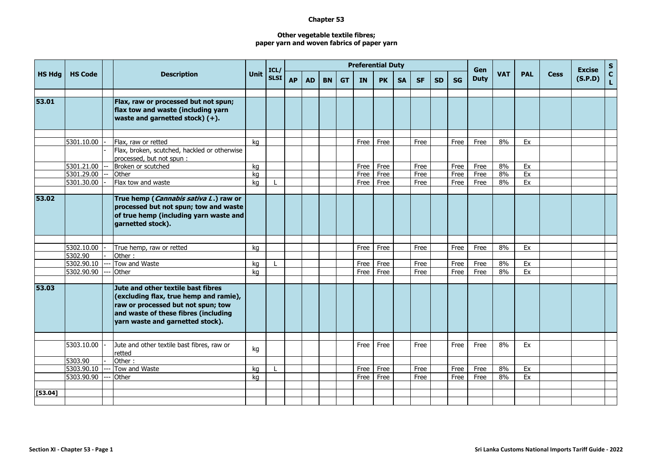## **Chapter 53**

## **Other vegetable textile fibres; paper yarn and woven fabrics of paper yarn**

|               |                          |  | <b>Description</b>                                                                                                                                                                             | <b>Unit</b> | ICL/        | <b>Preferential Duty</b> |           |           |           |              |              |           |              |           |              |                    |            |            |             | <b>Excise</b> | s<br>C |
|---------------|--------------------------|--|------------------------------------------------------------------------------------------------------------------------------------------------------------------------------------------------|-------------|-------------|--------------------------|-----------|-----------|-----------|--------------|--------------|-----------|--------------|-----------|--------------|--------------------|------------|------------|-------------|---------------|--------|
| <b>HS Hdg</b> | <b>HS Code</b>           |  |                                                                                                                                                                                                |             | <b>SLSI</b> | <b>AP</b>                | <b>AD</b> | <b>BN</b> | <b>GT</b> | IN           | <b>PK</b>    | <b>SA</b> | <b>SF</b>    | <b>SD</b> | <b>SG</b>    | Gen<br><b>Duty</b> | <b>VAT</b> | <b>PAL</b> | <b>Cess</b> | (S.P.D)       | Ĺ      |
|               |                          |  |                                                                                                                                                                                                |             |             |                          |           |           |           |              |              |           |              |           |              |                    |            |            |             |               |        |
| 53.01         |                          |  | Flax, raw or processed but not spun;<br>flax tow and waste (including yarn<br>waste and garnetted stock) $(+)$ .                                                                               |             |             |                          |           |           |           |              |              |           |              |           |              |                    |            |            |             |               |        |
|               | 5301.10.00               |  | Flax, raw or retted                                                                                                                                                                            | ka          |             |                          |           |           |           | Free         | Free         |           | Free         |           | Free         | Free               | 8%         | Ex         |             |               |        |
|               |                          |  | Flax, broken, scutched, hackled or otherwise<br>processed, but not spun:                                                                                                                       |             |             |                          |           |           |           |              |              |           |              |           |              |                    |            |            |             |               |        |
|               | 5301.21.00               |  | Broken or scutched                                                                                                                                                                             | kg          |             |                          |           |           |           | Free         | Free         |           | Free         |           | Free         | Free               | 8%         | Ex         |             |               |        |
|               | 5301.29.00               |  | Other                                                                                                                                                                                          | kg          |             |                          |           |           |           | Free         | Free         |           | Free         |           | Free         | Free               | 8%         | Ex         |             |               |        |
|               | 5301.30.00               |  | Flax tow and waste                                                                                                                                                                             | kg          |             |                          |           |           |           | Free         | Free         |           | Free         |           | Free         | Free               | 8%         | Ex         |             |               |        |
| 53.02         |                          |  | True hemp (Cannabis sativa L.) raw or<br>processed but not spun; tow and waste<br>of true hemp (including yarn waste and<br>garnetted stock).                                                  |             |             |                          |           |           |           |              |              |           |              |           |              |                    |            |            |             |               |        |
|               |                          |  |                                                                                                                                                                                                |             |             |                          |           |           |           |              |              |           |              |           |              |                    |            |            |             |               |        |
|               | 5302.10.00               |  | True hemp, raw or retted                                                                                                                                                                       | kg          |             |                          |           |           |           | Free         | Free         |           | Free         |           | Free         | Free               | 8%         | Ex         |             |               |        |
|               | 5302.90                  |  | Other:                                                                                                                                                                                         |             |             |                          |           |           |           |              |              |           |              |           |              |                    |            |            |             |               |        |
|               | 5302.90.10<br>5302.90.90 |  | Tow and Waste<br>Other                                                                                                                                                                         | kg<br>kg    |             |                          |           |           |           | Free<br>Free | Free<br>Free |           | Free<br>Free |           | Free<br>Free | Free<br>Free       | 8%<br>8%   | Ex<br>Ex   |             |               |        |
|               |                          |  |                                                                                                                                                                                                |             |             |                          |           |           |           |              |              |           |              |           |              |                    |            |            |             |               |        |
| 53.03         |                          |  | Jute and other textile bast fibres<br>(excluding flax, true hemp and ramie),<br>raw or processed but not spun; tow<br>and waste of these fibres (including<br>yarn waste and garnetted stock). |             |             |                          |           |           |           |              |              |           |              |           |              |                    |            |            |             |               |        |
|               |                          |  |                                                                                                                                                                                                |             |             |                          |           |           |           |              |              |           |              |           |              |                    |            |            |             |               |        |
|               | 5303.10.00               |  | Jute and other textile bast fibres, raw or<br>retted                                                                                                                                           | kg          |             |                          |           |           |           | Free         | Free         |           | Free         |           | Free         | Free               | 8%         | Ex         |             |               |        |
|               | 5303.90                  |  | Other:                                                                                                                                                                                         |             |             |                          |           |           |           |              |              |           |              |           |              |                    |            |            |             |               |        |
|               | 5303.90.10               |  | Tow and Waste                                                                                                                                                                                  | kg          |             |                          |           |           |           | Free         | Free         |           | Free         |           | Free         | Free               | 8%         | Ex         |             |               |        |
|               | 5303.90.90               |  | Other                                                                                                                                                                                          | kg          |             |                          |           |           |           | Free         | Free         |           | Free         |           | Free         | Free               | 8%         | Ex         |             |               |        |
| [53.04]       |                          |  |                                                                                                                                                                                                |             |             |                          |           |           |           |              |              |           |              |           |              |                    |            |            |             |               |        |
|               |                          |  |                                                                                                                                                                                                |             |             |                          |           |           |           |              |              |           |              |           |              |                    |            |            |             |               |        |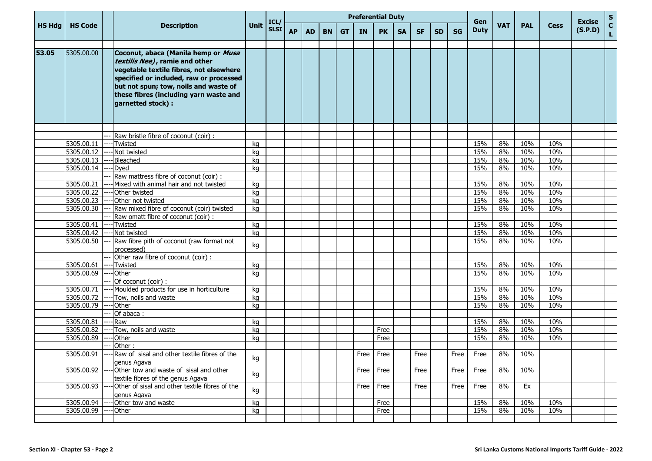|               |                 |                                                                                                                                                                                                                                                                      |             | ICL/        | <b>Preferential Duty</b> |           |           |           |           |           |           |           |     |           | Gen         |            |            |             | <b>Excise</b> | ${\sf s}$          |
|---------------|-----------------|----------------------------------------------------------------------------------------------------------------------------------------------------------------------------------------------------------------------------------------------------------------------|-------------|-------------|--------------------------|-----------|-----------|-----------|-----------|-----------|-----------|-----------|-----|-----------|-------------|------------|------------|-------------|---------------|--------------------|
| <b>HS Hdg</b> | <b>HS Code</b>  | <b>Description</b>                                                                                                                                                                                                                                                   | <b>Unit</b> | <b>SLSI</b> | <b>AP</b>                | <b>AD</b> | <b>BN</b> | <b>GT</b> | <b>IN</b> | <b>PK</b> | <b>SA</b> | <b>SF</b> | SD. | <b>SG</b> | <b>Duty</b> | <b>VAT</b> | <b>PAL</b> | <b>Cess</b> | (S.P.D)       | $\mathbf{C}$<br>L. |
| 53.05         | 5305.00.00      | Coconut, abaca (Manila hemp or Musa<br>textilis Nee), ramie and other<br>vegetable textile fibres, not elsewhere<br>specified or included, raw or processed<br>but not spun; tow, noils and waste of<br>these fibres (including yarn waste and<br>garnetted stock) : |             |             |                          |           |           |           |           |           |           |           |     |           |             |            |            |             |               |                    |
|               |                 |                                                                                                                                                                                                                                                                      |             |             |                          |           |           |           |           |           |           |           |     |           |             |            |            |             |               |                    |
|               |                 | Raw bristle fibre of coconut (coir) :                                                                                                                                                                                                                                |             |             |                          |           |           |           |           |           |           |           |     |           |             |            |            |             |               |                    |
|               | 5305.00.11      | Twisted                                                                                                                                                                                                                                                              | kg          |             |                          |           |           |           |           |           |           |           |     |           | 15%         | 8%         | 10%        | 10%         |               |                    |
|               | 5305.00.12      | Not twisted                                                                                                                                                                                                                                                          | kg          |             |                          |           |           |           |           |           |           |           |     |           | 15%         | 8%         | 10%        | 10%         |               |                    |
|               | 5305.00.13 ---  | Bleached                                                                                                                                                                                                                                                             | kg          |             |                          |           |           |           |           |           |           |           |     |           | 15%         | 8%         | 10%        | 10%         |               |                    |
|               | 5305.00.14 ---- | Dyed                                                                                                                                                                                                                                                                 | kg          |             |                          |           |           |           |           |           |           |           |     |           | 15%         | 8%         | 10%        | 10%         |               |                    |
|               |                 | Raw mattress fibre of coconut (coir) :                                                                                                                                                                                                                               |             |             |                          |           |           |           |           |           |           |           |     |           |             |            |            |             |               |                    |
|               | 5305.00.21      | Mixed with animal hair and not twisted                                                                                                                                                                                                                               | kg          |             |                          |           |           |           |           |           |           |           |     |           | 15%         | 8%         | 10%        | 10%         |               |                    |
|               | 5305.00.22      | Other twisted                                                                                                                                                                                                                                                        | kg          |             |                          |           |           |           |           |           |           |           |     |           | 15%         | 8%         | 10%        | 10%         |               |                    |
|               | 5305.00.23      | Other not twisted                                                                                                                                                                                                                                                    | kg          |             |                          |           |           |           |           |           |           |           |     |           | 15%         | 8%         | 10%        | 10%         |               |                    |
|               | 5305.00.30      | Raw mixed fibre of coconut (coir) twisted                                                                                                                                                                                                                            | kg          |             |                          |           |           |           |           |           |           |           |     |           | 15%         | 8%         | 10%        | 10%         |               |                    |
|               |                 | Raw omatt fibre of coconut (coir) :                                                                                                                                                                                                                                  |             |             |                          |           |           |           |           |           |           |           |     |           |             |            |            |             |               |                    |
|               | 5305.00.41      | Twisted                                                                                                                                                                                                                                                              | kg          |             |                          |           |           |           |           |           |           |           |     |           | 15%         | 8%         | 10%        | 10%         |               |                    |
|               | 5305.00.42      | Not twisted                                                                                                                                                                                                                                                          | kg          |             |                          |           |           |           |           |           |           |           |     |           | 15%         | 8%         | 10%        | 10%         |               |                    |
|               | 5305.00.50      | Raw fibre pith of coconut (raw format not<br>processed)                                                                                                                                                                                                              | kg          |             |                          |           |           |           |           |           |           |           |     |           | 15%         | 8%         | 10%        | 10%         |               |                    |
|               |                 | Other raw fibre of coconut (coir) :                                                                                                                                                                                                                                  |             |             |                          |           |           |           |           |           |           |           |     |           |             |            |            |             |               |                    |
|               | 5305.00.61      | Twisted                                                                                                                                                                                                                                                              | kg          |             |                          |           |           |           |           |           |           |           |     |           | 15%         | 8%         | 10%        | 10%         |               |                    |
|               | 5305.00.69      | Other                                                                                                                                                                                                                                                                | kg          |             |                          |           |           |           |           |           |           |           |     |           | 15%         | 8%         | 10%        | 10%         |               |                    |
|               |                 | Of coconut (coir) :                                                                                                                                                                                                                                                  |             |             |                          |           |           |           |           |           |           |           |     |           |             |            |            |             |               |                    |
|               | 5305.00.71      | Moulded products for use in horticulture                                                                                                                                                                                                                             | kg          |             |                          |           |           |           |           |           |           |           |     |           | 15%         | 8%         | 10%        | 10%         |               |                    |
|               | 5305.00.72      | Tow, noils and waste                                                                                                                                                                                                                                                 | kg          |             |                          |           |           |           |           |           |           |           |     |           | 15%         | 8%         | 10%        | 10%         |               |                    |
|               | 5305.00.79      | Other                                                                                                                                                                                                                                                                | kg          |             |                          |           |           |           |           |           |           |           |     |           | 15%         | 8%         | 10%        | 10%         |               |                    |
|               |                 | Of abaca:                                                                                                                                                                                                                                                            |             |             |                          |           |           |           |           |           |           |           |     |           |             |            |            |             |               |                    |
|               | 5305.00.81      | Raw                                                                                                                                                                                                                                                                  | kg          |             |                          |           |           |           |           |           |           |           |     |           | 15%         | 8%         | 10%        | 10%         |               |                    |
|               | 5305.00.82      | Tow, noils and waste                                                                                                                                                                                                                                                 | kg          |             |                          |           |           |           |           | Free      |           |           |     |           | 15%         | 8%         | 10%        | 10%         |               |                    |
|               | 5305.00.89      | Other                                                                                                                                                                                                                                                                | kg          |             |                          |           |           |           |           | Free      |           |           |     |           | 15%         | 8%         | 10%        | 10%         |               |                    |
|               |                 | Other:                                                                                                                                                                                                                                                               |             |             |                          |           |           |           |           |           |           |           |     |           |             |            |            |             |               |                    |
|               | 5305.00.91      | Raw of sisal and other textile fibres of the<br>genus Agava                                                                                                                                                                                                          | kg          |             |                          |           |           |           | Free      | Free      |           | Free      |     | Free      | Free        | 8%         | 10%        |             |               |                    |
|               | 5305.00.92      | Other tow and waste of sisal and other<br>textile fibres of the genus Agava                                                                                                                                                                                          | kg          |             |                          |           |           |           | Free      | Free      |           | Free      |     | Free      | Free        | 8%         | 10%        |             |               |                    |
|               | 5305.00.93      | Other of sisal and other textile fibres of the<br>genus Agava                                                                                                                                                                                                        | kg          |             |                          |           |           |           | Free      | Free      |           | Free      |     | Free      | Free        | 8%         | Ex         |             |               |                    |
|               | 5305.00.94      | Other tow and waste                                                                                                                                                                                                                                                  | kg          |             |                          |           |           |           |           | Free      |           |           |     |           | 15%         | 8%         | 10%        | 10%         |               |                    |
|               | 5305.00.99      | Other                                                                                                                                                                                                                                                                | kg          |             |                          |           |           |           |           | Free      |           |           |     |           | 15%         | 8%         | 10%        | 10%         |               |                    |
|               |                 |                                                                                                                                                                                                                                                                      |             |             |                          |           |           |           |           |           |           |           |     |           |             |            |            |             |               |                    |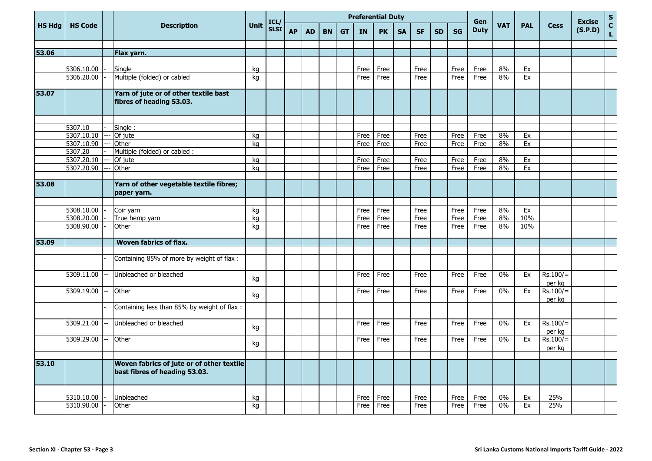|               |                          |                             |                                                                            |      | ICL/        | <b>Preferential Duty</b> |           |           |           |             |              |           |              |           |              |             | Gen        |            |                      | <b>Excise</b> | ${\sf s}$                                                              |
|---------------|--------------------------|-----------------------------|----------------------------------------------------------------------------|------|-------------|--------------------------|-----------|-----------|-----------|-------------|--------------|-----------|--------------|-----------|--------------|-------------|------------|------------|----------------------|---------------|------------------------------------------------------------------------|
| <b>HS Hdg</b> | <b>HS Code</b>           |                             | <b>Description</b>                                                         | Unit | <b>SLSI</b> | <b>AP</b>                | <b>AD</b> | <b>BN</b> | <b>GT</b> | <b>IN</b>   | <b>PK</b>    | <b>SA</b> | <b>SF</b>    | <b>SD</b> | <b>SG</b>    | <b>Duty</b> | <b>VAT</b> | <b>PAL</b> | <b>Cess</b>          | (S.P.D)       | $\mathbf{C}$<br>$\mathsf{L}% _{0}\left( \mathsf{L}_{0}\right) ^{\ast}$ |
|               |                          |                             |                                                                            |      |             |                          |           |           |           |             |              |           |              |           |              |             |            |            |                      |               |                                                                        |
| 53.06         |                          |                             | Flax yarn.                                                                 |      |             |                          |           |           |           |             |              |           |              |           |              |             |            |            |                      |               |                                                                        |
|               |                          |                             |                                                                            |      |             |                          |           |           |           |             |              |           |              |           |              |             |            |            |                      |               |                                                                        |
|               | 5306.10.00<br>5306.20.00 |                             | Single<br>Multiple (folded) or cabled                                      | kg   |             |                          |           |           |           | Free        | Free<br>Free |           | Free<br>Free |           | Free<br>Free | Free        | 8%<br>8%   | Ex<br>Ex   |                      |               |                                                                        |
|               |                          |                             |                                                                            | kg   |             |                          |           |           |           | Free        |              |           |              |           |              | Free        |            |            |                      |               |                                                                        |
| 53.07         |                          |                             | Yarn of jute or of other textile bast<br>fibres of heading 53.03.          |      |             |                          |           |           |           |             |              |           |              |           |              |             |            |            |                      |               |                                                                        |
|               |                          |                             |                                                                            |      |             |                          |           |           |           |             |              |           |              |           |              |             |            |            |                      |               |                                                                        |
|               | 5307.10                  |                             | Single:                                                                    |      |             |                          |           |           |           |             |              |           |              |           |              |             |            |            |                      |               |                                                                        |
|               | 5307.10.10               | ---                         | Of jute                                                                    | kg   |             |                          |           |           |           | Free        | Free         |           | Free         |           | Free         | Free        | 8%         | Ex         |                      |               |                                                                        |
|               | 5307.10.90<br>5307.20    |                             | Other<br>Multiple (folded) or cabled :                                     | kg   |             |                          |           |           |           | Free        | Free         |           | Free         |           | Free         | Free        | 8%         | Ex         |                      |               |                                                                        |
|               | 5307.20.10               |                             | Of jute                                                                    | kg   |             |                          |           |           |           | Free        | Free         |           | Free         |           | Free         | Free        | 8%         | Ex         |                      |               |                                                                        |
|               | 5307.20.90               |                             | Other                                                                      | kg   |             |                          |           |           |           | <b>Free</b> | Free         |           | Free         |           | Free         | Free        | 8%         | Ex         |                      |               |                                                                        |
|               |                          |                             |                                                                            |      |             |                          |           |           |           |             |              |           |              |           |              |             |            |            |                      |               |                                                                        |
| 53.08         |                          |                             | Yarn of other vegetable textile fibres;<br>paper yarn.                     |      |             |                          |           |           |           |             |              |           |              |           |              |             |            |            |                      |               |                                                                        |
|               |                          |                             |                                                                            |      |             |                          |           |           |           |             |              |           |              |           |              |             |            |            |                      |               |                                                                        |
|               | 5308.10.00               |                             | Coir yarn                                                                  | kg   |             |                          |           |           |           | Free        | Free         |           | Free         |           | Free         | Free        | 8%         | Ex         |                      |               |                                                                        |
|               | 5308.20.00               |                             | True hemp yarn                                                             | kg   |             |                          |           |           |           | Free        | Free         |           | Free         |           | Free         | Free        | 8%         | 10%        |                      |               |                                                                        |
|               | 5308.90.00               |                             | Other                                                                      | kg   |             |                          |           |           |           | Free        | Free         |           | Free         |           | Free         | Free        | 8%         | 10%        |                      |               |                                                                        |
|               |                          |                             |                                                                            |      |             |                          |           |           |           |             |              |           |              |           |              |             |            |            |                      |               |                                                                        |
| 53.09         |                          |                             | <b>Woven fabrics of flax.</b>                                              |      |             |                          |           |           |           |             |              |           |              |           |              |             |            |            |                      |               |                                                                        |
|               |                          |                             | Containing 85% of more by weight of flax :                                 |      |             |                          |           |           |           |             |              |           |              |           |              |             |            |            |                      |               |                                                                        |
|               | 5309.11.00               |                             | Unbleached or bleached                                                     | kg   |             |                          |           |           |           | Free        | Free         |           | Free         |           | Free         | Free        | $0\%$      | Ex         | $Rs.100/=$<br>per kg |               |                                                                        |
|               | 5309.19.00               | $\mathcal{L}_{\mathcal{F}}$ | Other                                                                      | kg   |             |                          |           |           |           | Free        | Free         |           | Free         |           | Free         | Free        | 0%         | Ex         | $Rs.100/=$<br>per kg |               |                                                                        |
|               |                          |                             | Containing less than 85% by weight of flax :                               |      |             |                          |           |           |           |             |              |           |              |           |              |             |            |            |                      |               |                                                                        |
|               | 5309.21.00               |                             | Unbleached or bleached                                                     | kg   |             |                          |           |           |           | Free        | Free         |           | Free         |           | Free         | Free        | 0%         | Ex         | $Rs.100/=$<br>per kg |               |                                                                        |
|               | 5309.29.00               | $\mathcal{L}_{\mathcal{F}}$ | Other                                                                      | kg   |             |                          |           |           |           | Free        | Free         |           | Free         |           | Free         | Free        | 0%         | Ex         | $Rs.100/=$<br>per kg |               |                                                                        |
|               |                          |                             |                                                                            |      |             |                          |           |           |           |             |              |           |              |           |              |             |            |            |                      |               |                                                                        |
| 53.10         |                          |                             | Woven fabrics of jute or of other textile<br>bast fibres of heading 53.03. |      |             |                          |           |           |           |             |              |           |              |           |              |             |            |            |                      |               |                                                                        |
|               |                          |                             |                                                                            |      |             |                          |           |           |           |             |              |           |              |           |              |             |            |            |                      |               |                                                                        |
|               | 5310.10.00               |                             | Unbleached                                                                 | kg   |             |                          |           |           |           | Free        | Free         |           | Free         |           | Free         | Free        | 0%         | Ex         | 25%                  |               |                                                                        |
|               | 5310.90.00               |                             | Other                                                                      | kg   |             |                          |           |           |           | Free        | Free         |           | Free         |           | Free         | Free        | 0%         | Ex         | 25%                  |               |                                                                        |
|               |                          |                             |                                                                            |      |             |                          |           |           |           |             |              |           |              |           |              |             |            |            |                      |               |                                                                        |